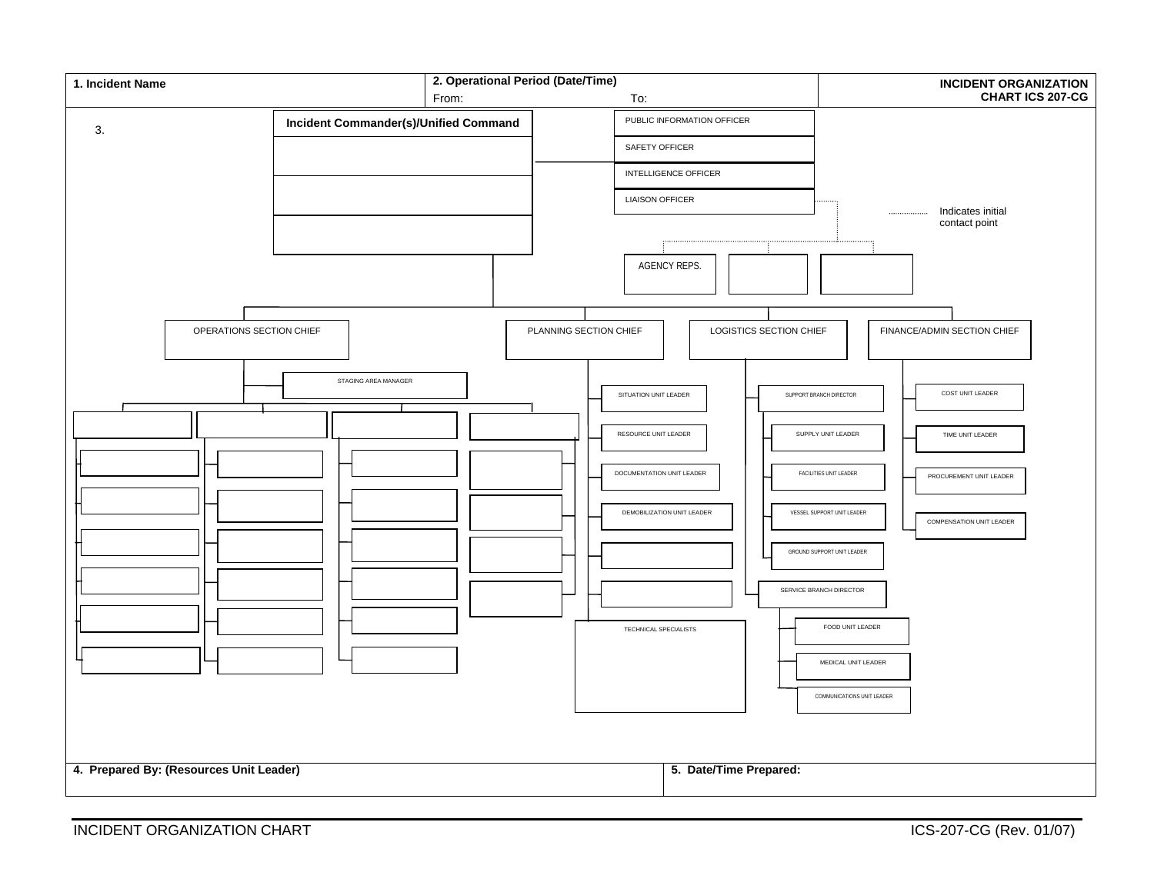